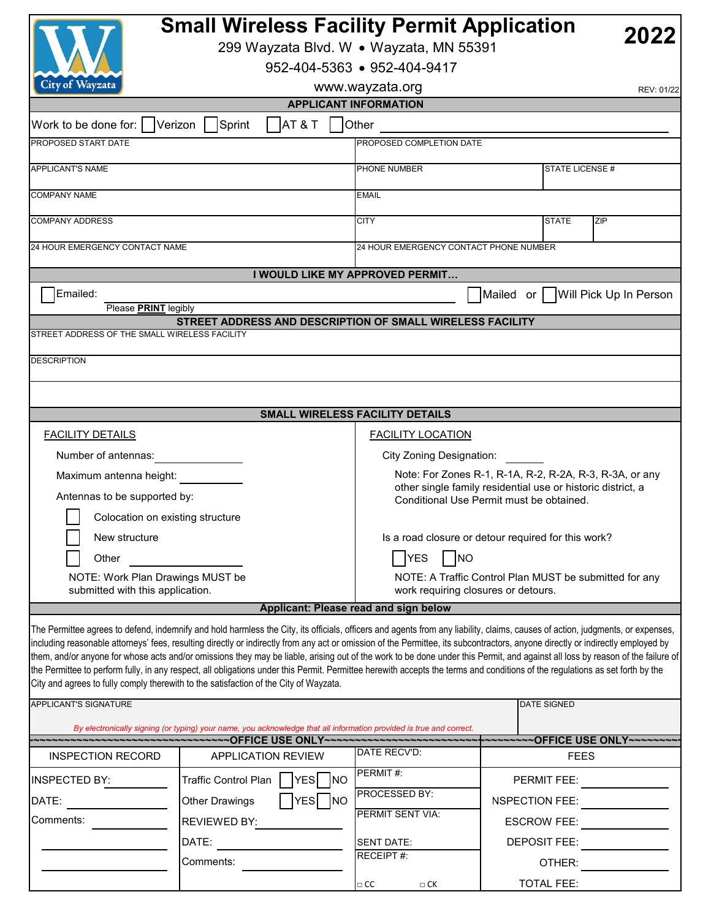|                                               | <b>Small Wireless Facility Permit Application</b><br>299 Wayzata Blvd. W · Wayzata, MN 55391                        |                                                                                                         | 2022                                                                                                                                                                                                                                                                                                                                                                                                                                                                                                                                                                                                                                                                                                                                 |  |
|-----------------------------------------------|---------------------------------------------------------------------------------------------------------------------|---------------------------------------------------------------------------------------------------------|--------------------------------------------------------------------------------------------------------------------------------------------------------------------------------------------------------------------------------------------------------------------------------------------------------------------------------------------------------------------------------------------------------------------------------------------------------------------------------------------------------------------------------------------------------------------------------------------------------------------------------------------------------------------------------------------------------------------------------------|--|
|                                               |                                                                                                                     | 952-404-5363 • 952-404-9417                                                                             |                                                                                                                                                                                                                                                                                                                                                                                                                                                                                                                                                                                                                                                                                                                                      |  |
| City of Wayzata                               |                                                                                                                     | www.wayzata.org                                                                                         | REV: 01/22                                                                                                                                                                                                                                                                                                                                                                                                                                                                                                                                                                                                                                                                                                                           |  |
|                                               |                                                                                                                     | <b>APPLICANT INFORMATION</b>                                                                            |                                                                                                                                                                                                                                                                                                                                                                                                                                                                                                                                                                                                                                                                                                                                      |  |
| Work to be done for:                          | Sprint<br><b>AT &amp; T</b><br>Verizon                                                                              | Other                                                                                                   |                                                                                                                                                                                                                                                                                                                                                                                                                                                                                                                                                                                                                                                                                                                                      |  |
| PROPOSED START DATE                           |                                                                                                                     | PROPOSED COMPLETION DATE                                                                                |                                                                                                                                                                                                                                                                                                                                                                                                                                                                                                                                                                                                                                                                                                                                      |  |
| <b>APPLICANT'S NAME</b>                       |                                                                                                                     | PHONE NUMBER                                                                                            | STATE LICENSE #                                                                                                                                                                                                                                                                                                                                                                                                                                                                                                                                                                                                                                                                                                                      |  |
| <b>COMPANY NAME</b>                           |                                                                                                                     | <b>EMAIL</b>                                                                                            |                                                                                                                                                                                                                                                                                                                                                                                                                                                                                                                                                                                                                                                                                                                                      |  |
| <b>COMPANY ADDRESS</b>                        |                                                                                                                     | <b>CITY</b>                                                                                             | <b>STATE</b><br>ZIP                                                                                                                                                                                                                                                                                                                                                                                                                                                                                                                                                                                                                                                                                                                  |  |
| 24 HOUR EMERGENCY CONTACT NAME                |                                                                                                                     | 24 HOUR EMERGENCY CONTACT PHONE NUMBER                                                                  |                                                                                                                                                                                                                                                                                                                                                                                                                                                                                                                                                                                                                                                                                                                                      |  |
|                                               |                                                                                                                     | I WOULD LIKE MY APPROVED PERMIT                                                                         |                                                                                                                                                                                                                                                                                                                                                                                                                                                                                                                                                                                                                                                                                                                                      |  |
| Emailed:                                      |                                                                                                                     |                                                                                                         | Mailed or   Will Pick Up In Person                                                                                                                                                                                                                                                                                                                                                                                                                                                                                                                                                                                                                                                                                                   |  |
| Please <b>PRINT</b> legibly                   |                                                                                                                     |                                                                                                         |                                                                                                                                                                                                                                                                                                                                                                                                                                                                                                                                                                                                                                                                                                                                      |  |
| STREET ADDRESS OF THE SMALL WIRELESS FACILITY | STREET ADDRESS AND DESCRIPTION OF SMALL WIRELESS FACILITY                                                           |                                                                                                         |                                                                                                                                                                                                                                                                                                                                                                                                                                                                                                                                                                                                                                                                                                                                      |  |
|                                               |                                                                                                                     |                                                                                                         |                                                                                                                                                                                                                                                                                                                                                                                                                                                                                                                                                                                                                                                                                                                                      |  |
| <b>DESCRIPTION</b>                            |                                                                                                                     |                                                                                                         |                                                                                                                                                                                                                                                                                                                                                                                                                                                                                                                                                                                                                                                                                                                                      |  |
|                                               |                                                                                                                     |                                                                                                         |                                                                                                                                                                                                                                                                                                                                                                                                                                                                                                                                                                                                                                                                                                                                      |  |
|                                               |                                                                                                                     | SMALL WIRELESS FACILITY DETAILS                                                                         |                                                                                                                                                                                                                                                                                                                                                                                                                                                                                                                                                                                                                                                                                                                                      |  |
| <b>FACILITY DETAILS</b>                       |                                                                                                                     | <b>FACILITY LOCATION</b>                                                                                |                                                                                                                                                                                                                                                                                                                                                                                                                                                                                                                                                                                                                                                                                                                                      |  |
| Number of antennas:                           |                                                                                                                     | City Zoning Designation:                                                                                |                                                                                                                                                                                                                                                                                                                                                                                                                                                                                                                                                                                                                                                                                                                                      |  |
| Maximum antenna height:                       |                                                                                                                     | Note: For Zones R-1, R-1A, R-2, R-2A, R-3, R-3A, or any                                                 |                                                                                                                                                                                                                                                                                                                                                                                                                                                                                                                                                                                                                                                                                                                                      |  |
| Antennas to be supported by:                  |                                                                                                                     | other single family residential use or historic district, a<br>Conditional Use Permit must be obtained. |                                                                                                                                                                                                                                                                                                                                                                                                                                                                                                                                                                                                                                                                                                                                      |  |
| Colocation on existing structure              |                                                                                                                     |                                                                                                         |                                                                                                                                                                                                                                                                                                                                                                                                                                                                                                                                                                                                                                                                                                                                      |  |
| New structure                                 | Is a road closure or detour required for this work?                                                                 |                                                                                                         |                                                                                                                                                                                                                                                                                                                                                                                                                                                                                                                                                                                                                                                                                                                                      |  |
| Other                                         | <b>YES</b><br>N                                                                                                     |                                                                                                         |                                                                                                                                                                                                                                                                                                                                                                                                                                                                                                                                                                                                                                                                                                                                      |  |
| NOTE: Work Plan Drawings MUST be              |                                                                                                                     | NOTE: A Traffic Control Plan MUST be submitted for any                                                  |                                                                                                                                                                                                                                                                                                                                                                                                                                                                                                                                                                                                                                                                                                                                      |  |
| submitted with this application.              |                                                                                                                     | work requiring closures or detours.                                                                     |                                                                                                                                                                                                                                                                                                                                                                                                                                                                                                                                                                                                                                                                                                                                      |  |
|                                               |                                                                                                                     | Applicant: Please read and sign below                                                                   |                                                                                                                                                                                                                                                                                                                                                                                                                                                                                                                                                                                                                                                                                                                                      |  |
|                                               | City and agrees to fully comply therewith to the satisfaction of the City of Wayzata.                               |                                                                                                         | The Permittee agrees to defend, indemnify and hold harmless the City, its officials, officers and agents from any liability, claims, causes of action, judgments, or expenses,<br>including reasonable attorneys' fees, resulting directly or indirectly from any act or omission of the Permittee, its subcontractors, anyone directly or indirectly employed by<br>them, and/or anyone for whose acts and/or omissions they may be liable, arising out of the work to be done under this Permit, and against all loss by reason of the failure of<br>the Permittee to perform fully, in any respect, all obligations under this Permit. Permittee herewith accepts the terms and conditions of the regulations as set forth by the |  |
| APPLICANT'S SIGNATURE                         |                                                                                                                     |                                                                                                         | <b>DATE SIGNED</b>                                                                                                                                                                                                                                                                                                                                                                                                                                                                                                                                                                                                                                                                                                                   |  |
|                                               | By electronically signing (or typing) your name, you acknowledge that all information provided is true and correct. |                                                                                                         |                                                                                                                                                                                                                                                                                                                                                                                                                                                                                                                                                                                                                                                                                                                                      |  |
| <b>INSPECTION RECORD</b>                      | ------------------------------OFFICE USE ONLY-----------------------------<br><b>APPLICATION REVIEW</b>             | DATE RECV'D:                                                                                            | ~~~~~~~~OFFICE USE ONLY~~~~~~<br><b>FEES</b>                                                                                                                                                                                                                                                                                                                                                                                                                                                                                                                                                                                                                                                                                         |  |
|                                               |                                                                                                                     | PERMIT#:                                                                                                |                                                                                                                                                                                                                                                                                                                                                                                                                                                                                                                                                                                                                                                                                                                                      |  |
| INSPECTED BY:                                 | Traffic Control Plan<br>YES NO                                                                                      | PROCESSED BY:                                                                                           | PERMIT FEE:                                                                                                                                                                                                                                                                                                                                                                                                                                                                                                                                                                                                                                                                                                                          |  |
| DATE:                                         | YES NO<br><b>Other Drawings</b>                                                                                     | PERMIT SENT VIA:                                                                                        | NSPECTION FEE:                                                                                                                                                                                                                                                                                                                                                                                                                                                                                                                                                                                                                                                                                                                       |  |
| Comments:                                     | <b>REVIEWED BY:</b>                                                                                                 |                                                                                                         | <b>ESCROW FEE:</b>                                                                                                                                                                                                                                                                                                                                                                                                                                                                                                                                                                                                                                                                                                                   |  |
|                                               | DATE:                                                                                                               | <b>SENT DATE:</b><br>RECEIPT#:                                                                          | DEPOSIT FEE:                                                                                                                                                                                                                                                                                                                                                                                                                                                                                                                                                                                                                                                                                                                         |  |
|                                               | Comments:                                                                                                           |                                                                                                         | OTHER:                                                                                                                                                                                                                                                                                                                                                                                                                                                                                                                                                                                                                                                                                                                               |  |
|                                               |                                                                                                                     | $\Box$ CC<br>$\Box$ CK                                                                                  | <b>TOTAL FEE:</b>                                                                                                                                                                                                                                                                                                                                                                                                                                                                                                                                                                                                                                                                                                                    |  |